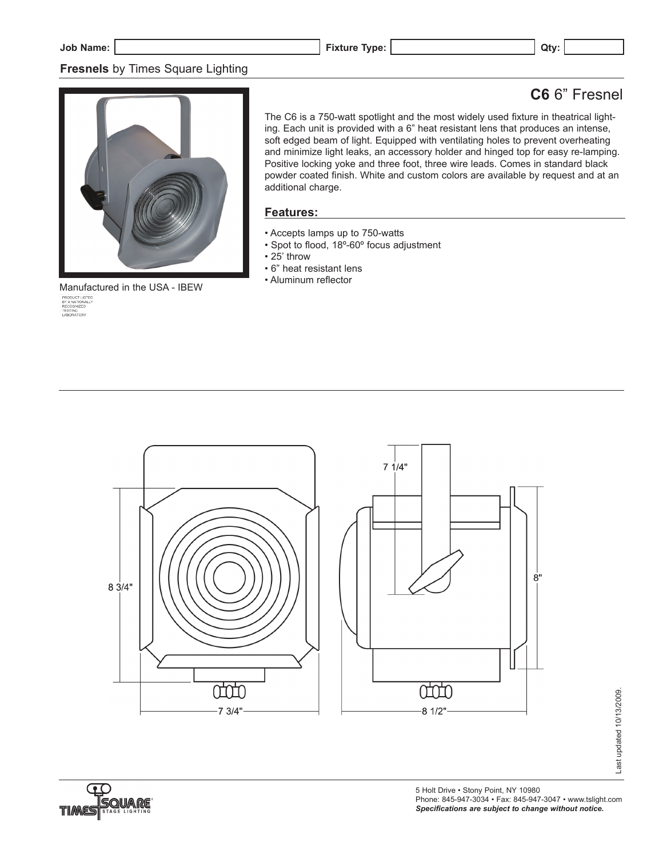## **Fresnels** by Times Square Lighting

# **C6** 6" Fresnel



 $\mathsf{Manufactured}$  in the USA - IBEW  $\frac{\mathsf{PRCOOTLISTED}}{\mathsf{REOONICED}}$ <br> $\frac{\mathsf{RECOONICED}}{\mathsf{REOONICED}}$ 

The C6 is a 750-watt spotlight and the most widely used fixture in theatrical lighting. Each unit is provided with a 6" heat resistant lens that produces an intense, soft edged beam of light. Equipped with ventilating holes to prevent overheating and minimize light leaks, an accessory holder and hinged top for easy re-lamping. Positive locking yoke and three foot, three wire leads. Comes in standard black powder coated finish. White and custom colors are available by request and at an additional charge.

#### **Features:**

- Accepts lamps up to 750-watts
- Spot to flood, 18º-60º focus adjustment
- 25' throw
- 6" heat resistant lens
- Aluminum reflector